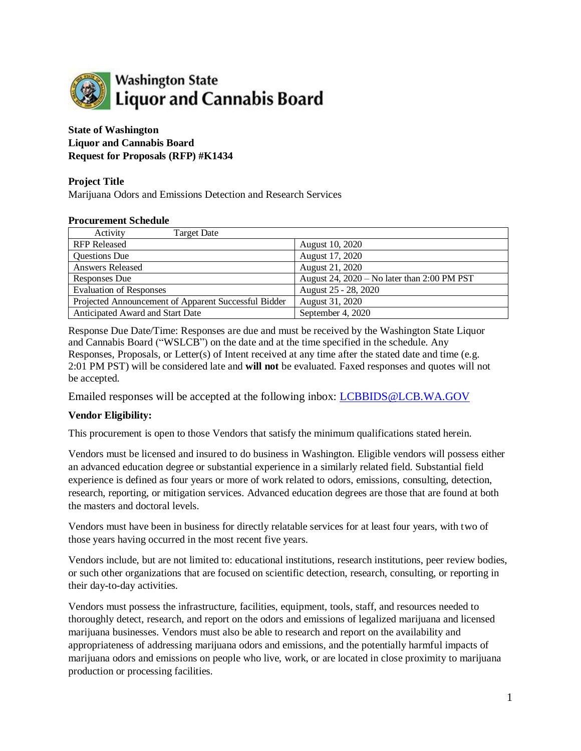

## **State of Washington Liquor and Cannabis Board Request for Proposals (RFP) #K1434**

## **Project Title**

Marijuana Odors and Emissions Detection and Research Services

#### **Procurement Schedule**

| Activity<br><b>Target Date</b>                       |                                             |
|------------------------------------------------------|---------------------------------------------|
| <b>RFP Released</b>                                  | August 10, 2020                             |
| Questions Due                                        | August 17, 2020                             |
| <b>Answers Released</b>                              | August 21, 2020                             |
| Responses Due                                        | August 24, 2020 - No later than 2:00 PM PST |
| <b>Evaluation of Responses</b>                       | August 25 - 28, 2020                        |
| Projected Announcement of Apparent Successful Bidder | August 31, 2020                             |
| Anticipated Award and Start Date                     | September 4, 2020                           |

Response Due Date/Time: Responses are due and must be received by the Washington State Liquor and Cannabis Board ("WSLCB") on the date and at the time specified in the schedule. Any Responses, Proposals, or Letter(s) of Intent received at any time after the stated date and time (e.g. 2:01 PM PST) will be considered late and **will not** be evaluated. Faxed responses and quotes will not be accepted.

Emailed responses will be accepted at the following inbox: LCBBIDS@LCB.WA.GOV

## **Vendor Eligibility:**

This procurement is open to those Vendors that satisfy the minimum qualifications stated herein.

Vendors must be licensed and insured to do business in Washington. Eligible vendors will possess either an advanced education degree or substantial experience in a similarly related field. Substantial field experience is defined as four years or more of work related to odors, emissions, consulting, detection, research, reporting, or mitigation services. Advanced education degrees are those that are found at both the masters and doctoral levels.

Vendors must have been in business for directly relatable services for at least four years, with two of those years having occurred in the most recent five years.

Vendors include, but are not limited to: educational institutions, research institutions, peer review bodies, or such other organizations that are focused on scientific detection, research, consulting, or reporting in their day-to-day activities.

Vendors must possess the infrastructure, facilities, equipment, tools, staff, and resources needed to thoroughly detect, research, and report on the odors and emissions of legalized marijuana and licensed marijuana businesses. Vendors must also be able to research and report on the availability and appropriateness of addressing marijuana odors and emissions, and the potentially harmful impacts of marijuana odors and emissions on people who live, work, or are located in close proximity to marijuana production or processing facilities.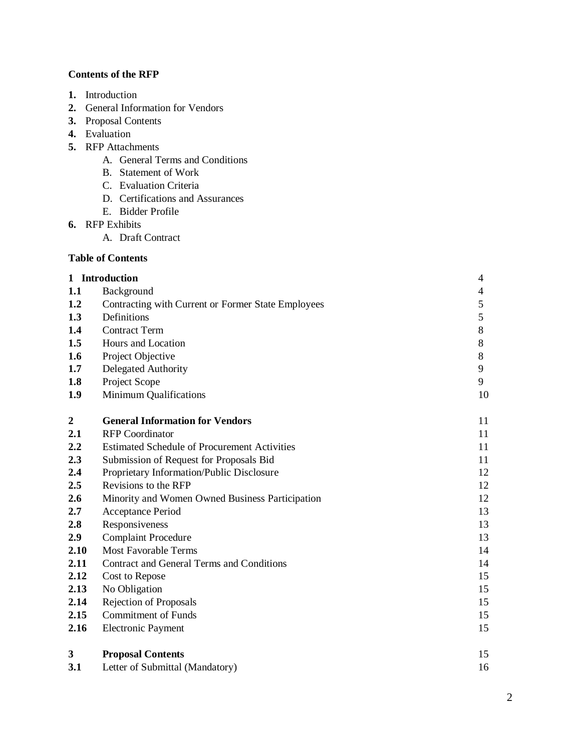# **Contents of the RFP**

- **1.** Introduction
- **2.** General Information for Vendors
- **3.** Proposal Contents
- **4.** Evaluation
- **5.** RFP Attachments
	- A. General Terms and Conditions
	- B. Statement of Work
	- C. Evaluation Criteria
	- D. Certifications and Assurances
	- E. Bidder Profile
- **6.** RFP Exhibits
	- A. Draft Contract

## **Table of Contents**

| 1 Introduction   |                                                     | 4              |
|------------------|-----------------------------------------------------|----------------|
| 1.1              | Background                                          | 4              |
| 1.2              | Contracting with Current or Former State Employees  | $\mathfrak s$  |
| 1.3              | Definitions                                         | 5              |
| 1.4              | <b>Contract Term</b>                                | $8\,$          |
| 1.5              | Hours and Location                                  | 8              |
| 1.6              | Project Objective                                   | $8\phantom{1}$ |
| 1.7              | <b>Delegated Authority</b>                          | 9              |
| 1.8              | Project Scope                                       | 9              |
| 1.9              | Minimum Qualifications                              | 10             |
| $\boldsymbol{2}$ | <b>General Information for Vendors</b>              | 11             |
| 2.1              | <b>RFP</b> Coordinator                              | 11             |
| 2.2              | <b>Estimated Schedule of Procurement Activities</b> | 11             |
| 2.3              | Submission of Request for Proposals Bid             | 11             |
| 2.4              | Proprietary Information/Public Disclosure           | 12             |
| 2.5              | Revisions to the RFP                                | 12             |
| 2.6              | Minority and Women Owned Business Participation     | 12             |
| 2.7              | Acceptance Period                                   | 13             |
| 2.8              | Responsiveness                                      | 13             |
| 2.9              | <b>Complaint Procedure</b>                          | 13             |
| 2.10             | <b>Most Favorable Terms</b>                         | 14             |
| 2.11             | Contract and General Terms and Conditions           | 14             |
| 2.12             | Cost to Repose                                      | 15             |
| 2.13             | No Obligation                                       | 15             |
| 2.14             | Rejection of Proposals                              | 15             |
| 2.15             | <b>Commitment of Funds</b>                          | 15             |
| 2.16             | <b>Electronic Payment</b>                           | 15             |
| 3                | <b>Proposal Contents</b>                            | 15             |
| 3.1              | Letter of Submittal (Mandatory)                     | 16             |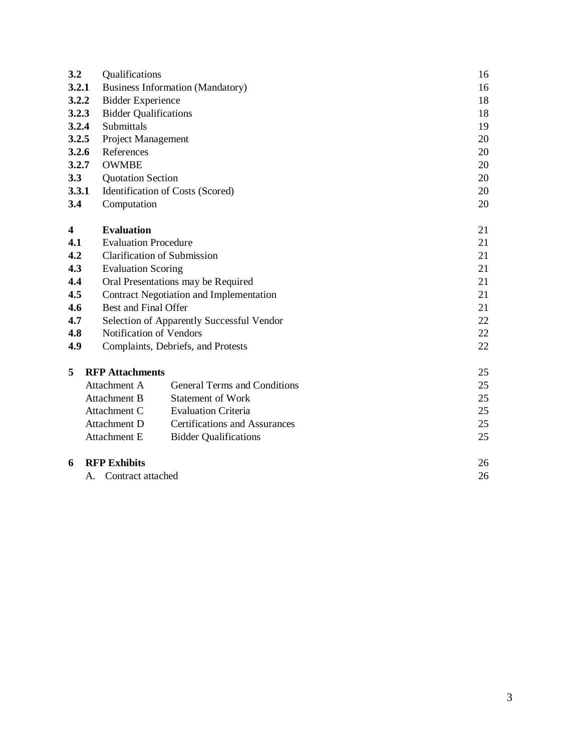| 3.2   | Qualifications                                       | 16 |
|-------|------------------------------------------------------|----|
| 3.2.1 | <b>Business Information (Mandatory)</b>              | 16 |
| 3.2.2 | <b>Bidder Experience</b>                             | 18 |
| 3.2.3 | <b>Bidder Qualifications</b>                         | 18 |
| 3.2.4 | Submittals                                           | 19 |
| 3.2.5 | Project Management                                   | 20 |
| 3.2.6 | References                                           | 20 |
| 3.2.7 | <b>OWMBE</b>                                         | 20 |
| 3.3   | <b>Quotation Section</b>                             | 20 |
| 3.3.1 | Identification of Costs (Scored)                     | 20 |
| 3.4   | Computation                                          | 20 |
|       |                                                      |    |
| 4     | <b>Evaluation</b>                                    | 21 |
| 4.1   | <b>Evaluation Procedure</b>                          | 21 |
| 4.2   | <b>Clarification of Submission</b>                   | 21 |
| 4.3   | <b>Evaluation Scoring</b>                            | 21 |
| 4.4   | Oral Presentations may be Required                   | 21 |
| 4.5   | Contract Negotiation and Implementation              | 21 |
| 4.6   | <b>Best and Final Offer</b>                          | 21 |
| 4.7   | Selection of Apparently Successful Vendor            | 22 |
| 4.8   | Notification of Vendors                              | 22 |
| 4.9   | Complaints, Debriefs, and Protests                   | 22 |
|       |                                                      |    |
| 5     | <b>RFP</b> Attachments                               | 25 |
|       | Attachment A<br>General Terms and Conditions         | 25 |
|       | Attachment B<br><b>Statement of Work</b>             | 25 |
|       | Attachment C<br><b>Evaluation Criteria</b>           | 25 |
|       | <b>Certifications and Assurances</b><br>Attachment D | 25 |
|       | Attachment E<br><b>Bidder Qualifications</b>         | 25 |
| 6     | <b>RFP Exhibits</b>                                  | 26 |
|       | Contract attached<br>A.                              | 26 |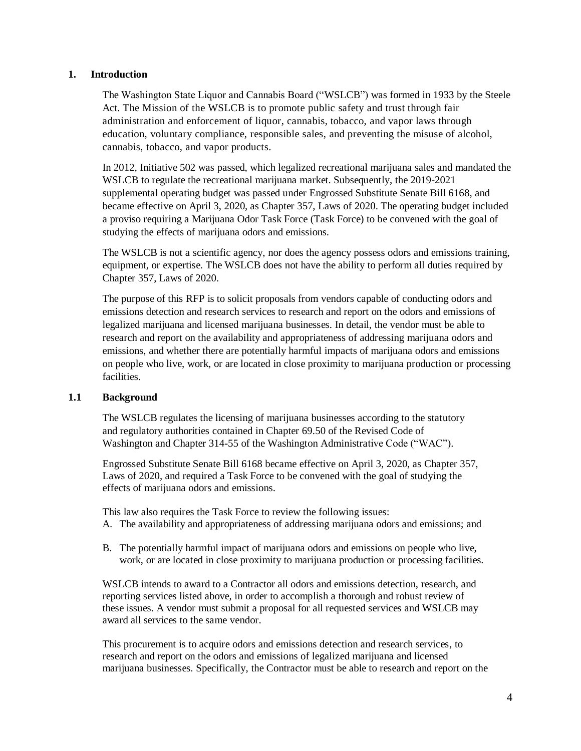## **1. Introduction**

The Washington State Liquor and Cannabis Board ("WSLCB") was formed in 1933 by the Steele Act. The Mission of the WSLCB is to promote public safety and trust through fair administration and enforcement of liquor, cannabis, tobacco, and vapor laws through education, voluntary compliance, responsible sales, and preventing the misuse of alcohol, cannabis, tobacco, and vapor products.

In 2012, Initiative 502 was passed, which legalized recreational marijuana sales and mandated the WSLCB to regulate the recreational marijuana market. Subsequently, the 2019-2021 supplemental operating budget was passed under Engrossed Substitute Senate Bill 6168, and became effective on April 3, 2020, as Chapter 357, Laws of 2020. The operating budget included a proviso requiring a Marijuana Odor Task Force (Task Force) to be convened with the goal of studying the effects of marijuana odors and emissions.

The WSLCB is not a scientific agency, nor does the agency possess odors and emissions training, equipment, or expertise. The WSLCB does not have the ability to perform all duties required by Chapter 357, Laws of 2020.

The purpose of this RFP is to solicit proposals from vendors capable of conducting odors and emissions detection and research services to research and report on the odors and emissions of legalized marijuana and licensed marijuana businesses. In detail, the vendor must be able to research and report on the availability and appropriateness of addressing marijuana odors and emissions, and whether there are potentially harmful impacts of marijuana odors and emissions on people who live, work, or are located in close proximity to marijuana production or processing facilities.

#### **1.1 Background**

The WSLCB regulates the licensing of marijuana businesses according to the statutory and regulatory authorities contained in Chapter 69.50 of the Revised Code of Washington and Chapter 314-55 of the Washington Administrative Code ("WAC").

Engrossed Substitute Senate Bill 6168 became effective on April 3, 2020, as Chapter 357, Laws of 2020, and required a Task Force to be convened with the goal of studying the effects of marijuana odors and emissions.

This law also requires the Task Force to review the following issues:

- A. The availability and appropriateness of addressing marijuana odors and emissions; and
- B. The potentially harmful impact of marijuana odors and emissions on people who live, work, or are located in close proximity to marijuana production or processing facilities.

WSLCB intends to award to a Contractor all odors and emissions detection, research, and reporting services listed above, in order to accomplish a thorough and robust review of these issues. A vendor must submit a proposal for all requested services and WSLCB may award all services to the same vendor.

This procurement is to acquire odors and emissions detection and research services, to research and report on the odors and emissions of legalized marijuana and licensed marijuana businesses. Specifically, the Contractor must be able to research and report on the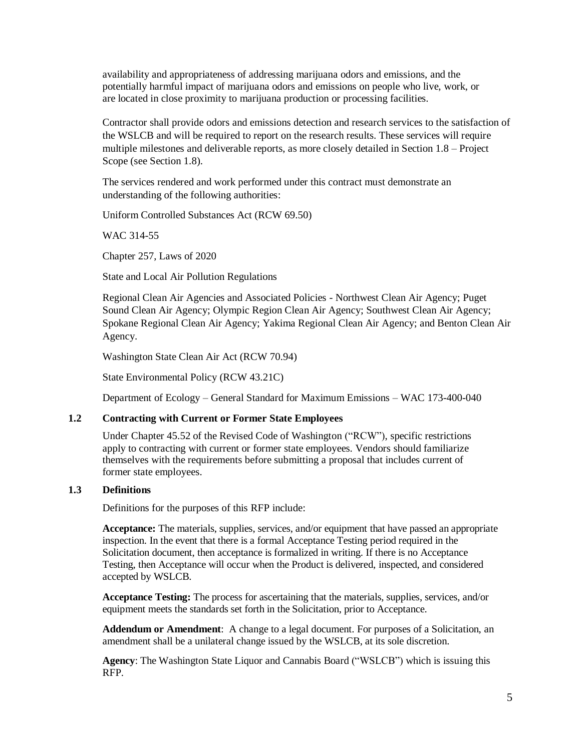availability and appropriateness of addressing marijuana odors and emissions, and the potentially harmful impact of marijuana odors and emissions on people who live, work, or are located in close proximity to marijuana production or processing facilities.

Contractor shall provide odors and emissions detection and research services to the satisfaction of the WSLCB and will be required to report on the research results. These services will require multiple milestones and deliverable reports, as more closely detailed in Section 1.8 – Project Scope (see Section 1.8).

The services rendered and work performed under this contract must demonstrate an understanding of the following authorities:

Uniform Controlled Substances Act (RCW 69.50)

WAC 314-55

Chapter 257, Laws of 2020

State and Local Air Pollution Regulations

Regional Clean Air Agencies and Associated Policies - Northwest Clean Air Agency; Puget Sound Clean Air Agency; Olympic Region Clean Air Agency; Southwest Clean Air Agency; Spokane Regional Clean Air Agency; Yakima Regional Clean Air Agency; and Benton Clean Air Agency.

Washington State Clean Air Act (RCW 70.94)

State Environmental Policy (RCW 43.21C)

Department of Ecology – General Standard for Maximum Emissions – WAC 173-400-040

## **1.2 Contracting with Current or Former State Employees**

Under Chapter 45.52 of the Revised Code of Washington ("RCW"), specific restrictions apply to contracting with current or former state employees. Vendors should familiarize themselves with the requirements before submitting a proposal that includes current of former state employees.

## **1.3 Definitions**

Definitions for the purposes of this RFP include:

**Acceptance:** The materials, supplies, services, and/or equipment that have passed an appropriate inspection. In the event that there is a formal Acceptance Testing period required in the Solicitation document, then acceptance is formalized in writing. If there is no Acceptance Testing, then Acceptance will occur when the Product is delivered, inspected, and considered accepted by WSLCB.

**Acceptance Testing:** The process for ascertaining that the materials, supplies, services, and/or equipment meets the standards set forth in the Solicitation, prior to Acceptance.

**Addendum or Amendment**: A change to a legal document. For purposes of a Solicitation, an amendment shall be a unilateral change issued by the WSLCB, at its sole discretion.

**Agency**: The Washington State Liquor and Cannabis Board ("WSLCB") which is issuing this RFP.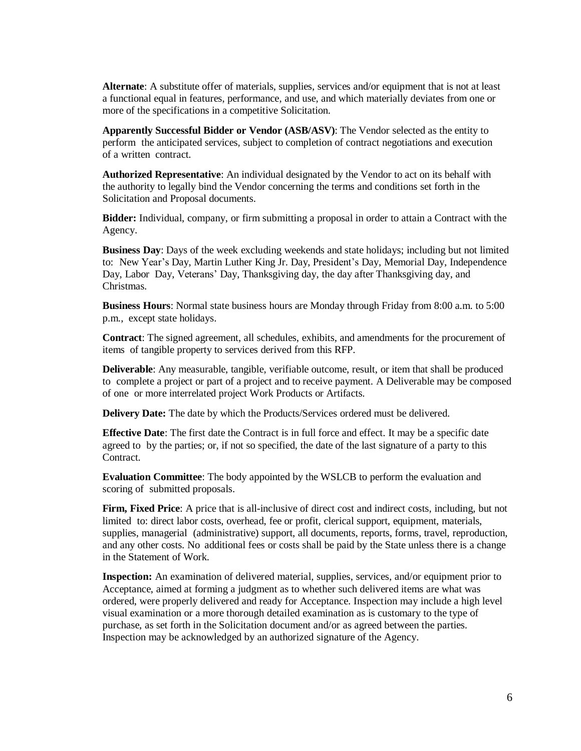**Alternate**: A substitute offer of materials, supplies, services and/or equipment that is not at least a functional equal in features, performance, and use, and which materially deviates from one or more of the specifications in a competitive Solicitation.

**Apparently Successful Bidder or Vendor (ASB/ASV)**: The Vendor selected as the entity to perform the anticipated services, subject to completion of contract negotiations and execution of a written contract.

**Authorized Representative**: An individual designated by the Vendor to act on its behalf with the authority to legally bind the Vendor concerning the terms and conditions set forth in the Solicitation and Proposal documents.

**Bidder:** Individual, company, or firm submitting a proposal in order to attain a Contract with the Agency.

**Business Day**: Days of the week excluding weekends and state holidays; including but not limited to: New Year's Day, Martin Luther King Jr. Day, President's Day, Memorial Day, Independence Day, Labor Day, Veterans' Day, Thanksgiving day, the day after Thanksgiving day, and Christmas.

**Business Hours**: Normal state business hours are Monday through Friday from 8:00 a.m. to 5:00 p.m., except state holidays.

**Contract**: The signed agreement, all schedules, exhibits, and amendments for the procurement of items of tangible property to services derived from this RFP.

**Deliverable**: Any measurable, tangible, verifiable outcome, result, or item that shall be produced to complete a project or part of a project and to receive payment. A Deliverable may be composed of one or more interrelated project Work Products or Artifacts.

**Delivery Date:** The date by which the Products/Services ordered must be delivered.

**Effective Date**: The first date the Contract is in full force and effect. It may be a specific date agreed to by the parties; or, if not so specified, the date of the last signature of a party to this Contract.

**Evaluation Committee**: The body appointed by the WSLCB to perform the evaluation and scoring of submitted proposals.

**Firm, Fixed Price**: A price that is all-inclusive of direct cost and indirect costs, including, but not limited to: direct labor costs, overhead, fee or profit, clerical support, equipment, materials, supplies, managerial (administrative) support, all documents, reports, forms, travel, reproduction, and any other costs. No additional fees or costs shall be paid by the State unless there is a change in the Statement of Work.

**Inspection:** An examination of delivered material, supplies, services, and/or equipment prior to Acceptance, aimed at forming a judgment as to whether such delivered items are what was ordered, were properly delivered and ready for Acceptance. Inspection may include a high level visual examination or a more thorough detailed examination as is customary to the type of purchase, as set forth in the Solicitation document and/or as agreed between the parties. Inspection may be acknowledged by an authorized signature of the Agency.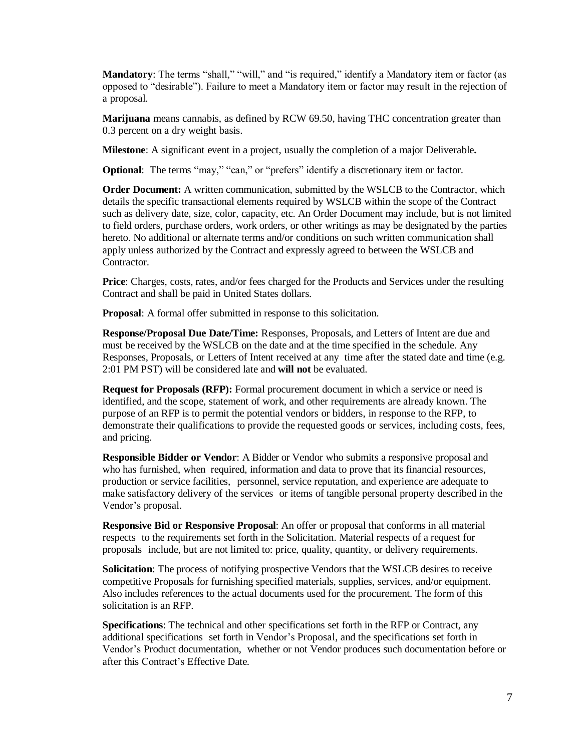**Mandatory**: The terms "shall," "will," and "is required," identify a Mandatory item or factor (as opposed to "desirable"). Failure to meet a Mandatory item or factor may result in the rejection of a proposal.

**Marijuana** means cannabis, as defined by RCW 69.50, having THC concentration greater than 0.3 percent on a dry weight basis.

**Milestone**: A significant event in a project, usually the completion of a major Deliverable**.**

**Optional:** The terms "may," "can," or "prefers" identify a discretionary item or factor.

**Order Document:** A written communication, submitted by the WSLCB to the Contractor, which details the specific transactional elements required by WSLCB within the scope of the Contract such as delivery date, size, color, capacity, etc. An Order Document may include, but is not limited to field orders, purchase orders, work orders, or other writings as may be designated by the parties hereto. No additional or alternate terms and/or conditions on such written communication shall apply unless authorized by the Contract and expressly agreed to between the WSLCB and Contractor.

Price: Charges, costs, rates, and/or fees charged for the Products and Services under the resulting Contract and shall be paid in United States dollars.

**Proposal**: A formal offer submitted in response to this solicitation.

**Response/Proposal Due Date/Time:** Responses, Proposals, and Letters of Intent are due and must be received by the WSLCB on the date and at the time specified in the schedule. Any Responses, Proposals, or Letters of Intent received at any time after the stated date and time (e.g. 2:01 PM PST) will be considered late and **will not** be evaluated.

**Request for Proposals (RFP):** Formal procurement document in which a service or need is identified, and the scope, statement of work, and other requirements are already known. The purpose of an RFP is to permit the potential vendors or bidders, in response to the RFP, to demonstrate their qualifications to provide the requested goods or services, including costs, fees, and pricing.

**Responsible Bidder or Vendor**: A Bidder or Vendor who submits a responsive proposal and who has furnished, when required, information and data to prove that its financial resources, production or service facilities, personnel, service reputation, and experience are adequate to make satisfactory delivery of the services or items of tangible personal property described in the Vendor's proposal.

**Responsive Bid or Responsive Proposal**: An offer or proposal that conforms in all material respects to the requirements set forth in the Solicitation. Material respects of a request for proposals include, but are not limited to: price, quality, quantity, or delivery requirements.

**Solicitation**: The process of notifying prospective Vendors that the WSLCB desires to receive competitive Proposals for furnishing specified materials, supplies, services, and/or equipment. Also includes references to the actual documents used for the procurement. The form of this solicitation is an RFP.

**Specifications**: The technical and other specifications set forth in the RFP or Contract, any additional specifications set forth in Vendor's Proposal, and the specifications set forth in Vendor's Product documentation, whether or not Vendor produces such documentation before or after this Contract's Effective Date.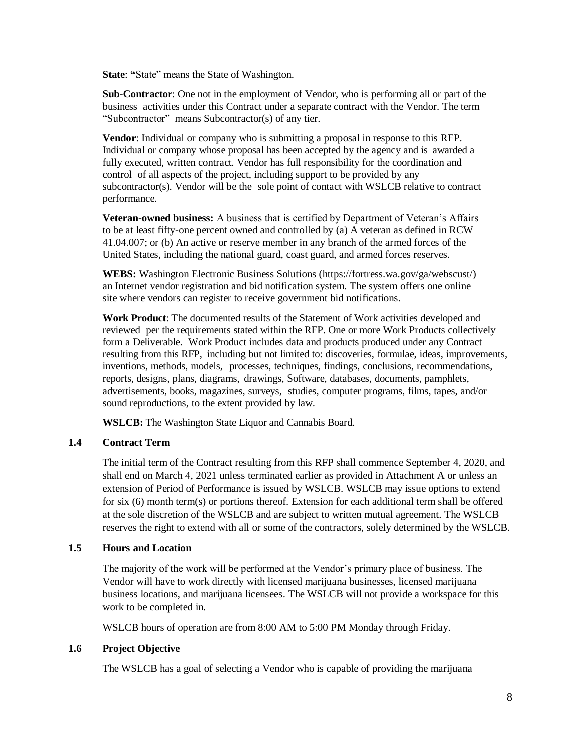**State**: **"**State" means the State of Washington.

**Sub-Contractor**: One not in the employment of Vendor, who is performing all or part of the business activities under this Contract under a separate contract with the Vendor. The term "Subcontractor" means Subcontractor(s) of any tier.

**Vendor**: Individual or company who is submitting a proposal in response to this RFP. Individual or company whose proposal has been accepted by the agency and is awarded a fully executed, written contract. Vendor has full responsibility for the coordination and control of all aspects of the project, including support to be provided by any subcontractor(s). Vendor will be the sole point of contact with WSLCB relative to contract performance.

**Veteran-owned business:** A business that is certified by Department of Veteran's Affairs to be at least fifty-one percent owned and controlled by (a) A veteran as defined in RCW [41.04.007;](http://apps.leg.wa.gov/rcw/default.aspx?cite=41.04.007) or (b) An active or reserve member in any branch of the armed forces of the United States, including the national guard, coast guard, and armed forces reserves.

**WEBS:** Washington Electronic Business Solutions [\(https://fortress.wa.gov/ga/webscust/\)](https://fortress.wa.gov/ga/webscust/) an Internet vendor registration and bid notification system. The system offers one online site where vendors can register to receive government bid notifications.

**Work Product**: The documented results of the Statement of Work activities developed and reviewed per the requirements stated within the RFP. One or more Work Products collectively form a Deliverable. Work Product includes data and products produced under any Contract resulting from this RFP, including but not limited to: discoveries, formulae, ideas, improvements, inventions, methods, models, processes, techniques, findings, conclusions, recommendations, reports, designs, plans, diagrams, drawings, Software, databases, documents, pamphlets, advertisements, books, magazines, surveys, studies, computer programs, films, tapes, and/or sound reproductions, to the extent provided by law.

**WSLCB:** The Washington State Liquor and Cannabis Board.

## **1.4 Contract Term**

The initial term of the Contract resulting from this RFP shall commence September 4, 2020, and shall end on March 4, 2021 unless terminated earlier as provided in Attachment A or unless an extension of Period of Performance is issued by WSLCB. WSLCB may issue options to extend for six (6) month term(s) or portions thereof. Extension for each additional term shall be offered at the sole discretion of the WSLCB and are subject to written mutual agreement. The WSLCB reserves the right to extend with all or some of the contractors, solely determined by the WSLCB.

## **1.5 Hours and Location**

The majority of the work will be performed at the Vendor's primary place of business. The Vendor will have to work directly with licensed marijuana businesses, licensed marijuana business locations, and marijuana licensees. The WSLCB will not provide a workspace for this work to be completed in.

WSLCB hours of operation are from 8:00 AM to 5:00 PM Monday through Friday.

## **1.6 Project Objective**

The WSLCB has a goal of selecting a Vendor who is capable of providing the marijuana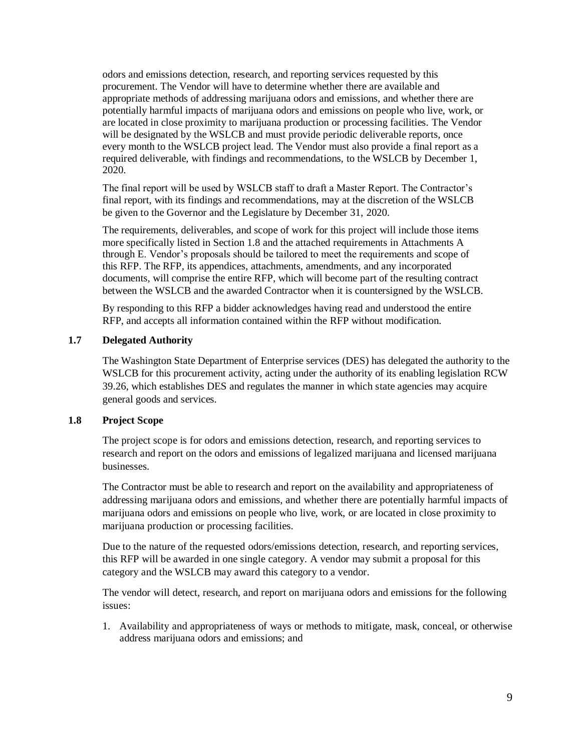odors and emissions detection, research, and reporting services requested by this procurement. The Vendor will have to determine whether there are available and appropriate methods of addressing marijuana odors and emissions, and whether there are potentially harmful impacts of marijuana odors and emissions on people who live, work, or are located in close proximity to marijuana production or processing facilities. The Vendor will be designated by the WSLCB and must provide periodic deliverable reports, once every month to the WSLCB project lead. The Vendor must also provide a final report as a required deliverable, with findings and recommendations, to the WSLCB by December 1, 2020.

The final report will be used by WSLCB staff to draft a Master Report. The Contractor's final report, with its findings and recommendations, may at the discretion of the WSLCB be given to the Governor and the Legislature by December 31, 2020.

The requirements, deliverables, and scope of work for this project will include those items more specifically listed in Section 1.8 and the attached requirements in Attachments A through E. Vendor's proposals should be tailored to meet the requirements and scope of this RFP. The RFP, its appendices, attachments, amendments, and any incorporated documents, will comprise the entire RFP, which will become part of the resulting contract between the WSLCB and the awarded Contractor when it is countersigned by the WSLCB.

By responding to this RFP a bidder acknowledges having read and understood the entire RFP, and accepts all information contained within the RFP without modification.

## **1.7 Delegated Authority**

The Washington State Department of Enterprise services (DES) has delegated the authority to the WSLCB for this procurement activity, acting under the authority of its enabling legislation RCW 39.26, which establishes DES and regulates the manner in which state agencies may acquire general goods and services.

#### **1.8 Project Scope**

The project scope is for odors and emissions detection, research, and reporting services to research and report on the odors and emissions of legalized marijuana and licensed marijuana businesses.

The Contractor must be able to research and report on the availability and appropriateness of addressing marijuana odors and emissions, and whether there are potentially harmful impacts of marijuana odors and emissions on people who live, work, or are located in close proximity to marijuana production or processing facilities.

Due to the nature of the requested odors/emissions detection, research, and reporting services, this RFP will be awarded in one single category. A vendor may submit a proposal for this category and the WSLCB may award this category to a vendor.

The vendor will detect, research, and report on marijuana odors and emissions for the following issues:

1. Availability and appropriateness of ways or methods to mitigate, mask, conceal, or otherwise address marijuana odors and emissions; and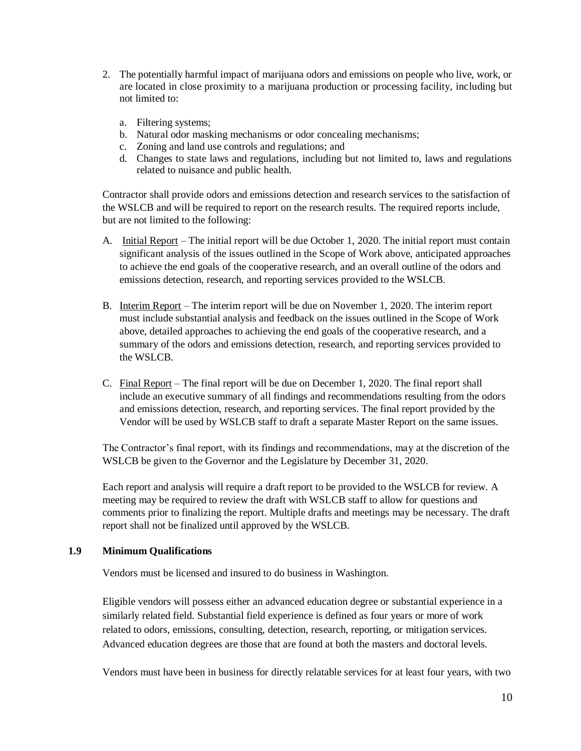- 2. The potentially harmful impact of marijuana odors and emissions on people who live, work, or are located in close proximity to a marijuana production or processing facility, including but not limited to:
	- a. Filtering systems;
	- b. Natural odor masking mechanisms or odor concealing mechanisms;
	- c. Zoning and land use controls and regulations; and
	- d. Changes to state laws and regulations, including but not limited to, laws and regulations related to nuisance and public health.

Contractor shall provide odors and emissions detection and research services to the satisfaction of the WSLCB and will be required to report on the research results. The required reports include, but are not limited to the following:

- A. Initial Report The initial report will be due October 1, 2020. The initial report must contain significant analysis of the issues outlined in the Scope of Work above, anticipated approaches to achieve the end goals of the cooperative research, and an overall outline of the odors and emissions detection, research, and reporting services provided to the WSLCB.
- B. Interim Report The interim report will be due on November 1, 2020. The interim report must include substantial analysis and feedback on the issues outlined in the Scope of Work above, detailed approaches to achieving the end goals of the cooperative research, and a summary of the odors and emissions detection, research, and reporting services provided to the WSLCB.
- C. Final Report The final report will be due on December 1, 2020. The final report shall include an executive summary of all findings and recommendations resulting from the odors and emissions detection, research, and reporting services. The final report provided by the Vendor will be used by WSLCB staff to draft a separate Master Report on the same issues.

The Contractor's final report, with its findings and recommendations, may at the discretion of the WSLCB be given to the Governor and the Legislature by December 31, 2020.

Each report and analysis will require a draft report to be provided to the WSLCB for review. A meeting may be required to review the draft with WSLCB staff to allow for questions and comments prior to finalizing the report. Multiple drafts and meetings may be necessary. The draft report shall not be finalized until approved by the WSLCB.

## **1.9 Minimum Qualifications**

Vendors must be licensed and insured to do business in Washington.

Eligible vendors will possess either an advanced education degree or substantial experience in a similarly related field. Substantial field experience is defined as four years or more of work related to odors, emissions, consulting, detection, research, reporting, or mitigation services. Advanced education degrees are those that are found at both the masters and doctoral levels.

Vendors must have been in business for directly relatable services for at least four years, with two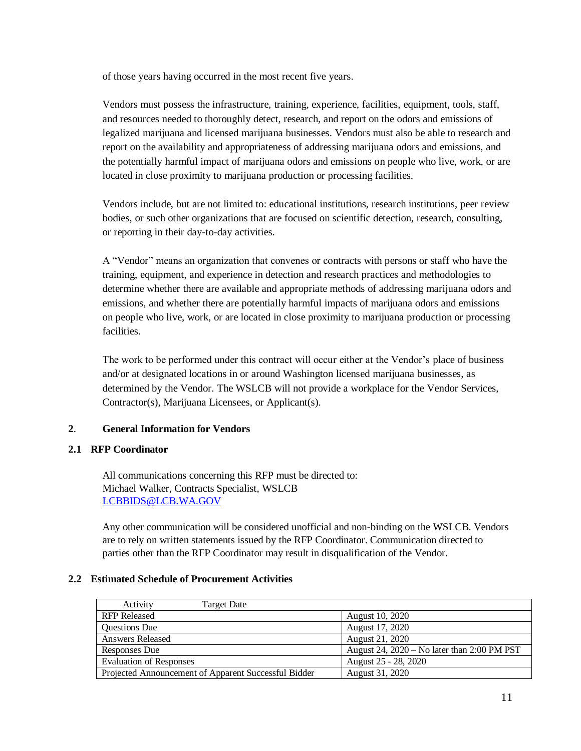of those years having occurred in the most recent five years.

Vendors must possess the infrastructure, training, experience, facilities, equipment, tools, staff, and resources needed to thoroughly detect, research, and report on the odors and emissions of legalized marijuana and licensed marijuana businesses. Vendors must also be able to research and report on the availability and appropriateness of addressing marijuana odors and emissions, and the potentially harmful impact of marijuana odors and emissions on people who live, work, or are located in close proximity to marijuana production or processing facilities.

Vendors include, but are not limited to: educational institutions, research institutions, peer review bodies, or such other organizations that are focused on scientific detection, research, consulting, or reporting in their day-to-day activities.

A "Vendor" means an organization that convenes or contracts with persons or staff who have the training, equipment, and experience in detection and research practices and methodologies to determine whether there are available and appropriate methods of addressing marijuana odors and emissions, and whether there are potentially harmful impacts of marijuana odors and emissions on people who live, work, or are located in close proximity to marijuana production or processing facilities.

The work to be performed under this contract will occur either at the Vendor's place of business and/or at designated locations in or around Washington licensed marijuana businesses, as determined by the Vendor. The WSLCB will not provide a workplace for the Vendor Services, Contractor(s), Marijuana Licensees, or Applicant(s).

## **2**. **General Information for Vendors**

## **2.1 RFP Coordinator**

All communications concerning this RFP must be directed to: Michael Walker, Contracts Specialist, WSLCB [LCBBIDS@LCB.WA.GOV](mailto:LCBbids@lcb.wa.gov)

Any other communication will be considered unofficial and non-binding on the WSLCB. Vendors are to rely on written statements issued by the RFP Coordinator. Communication directed to parties other than the RFP Coordinator may result in disqualification of the Vendor.

## **2.2 Estimated Schedule of Procurement Activities**

| Activity<br>Target Date                              |                                               |
|------------------------------------------------------|-----------------------------------------------|
| <b>RFP</b> Released                                  | August 10, 2020                               |
| <b>Questions Due</b>                                 | August 17, 2020                               |
| <b>Answers Released</b>                              | August 21, 2020                               |
| Responses Due                                        | August 24, $2020 - No$ later than 2:00 PM PST |
| <b>Evaluation of Responses</b>                       | August 25 - 28, 2020                          |
| Projected Announcement of Apparent Successful Bidder | August 31, 2020                               |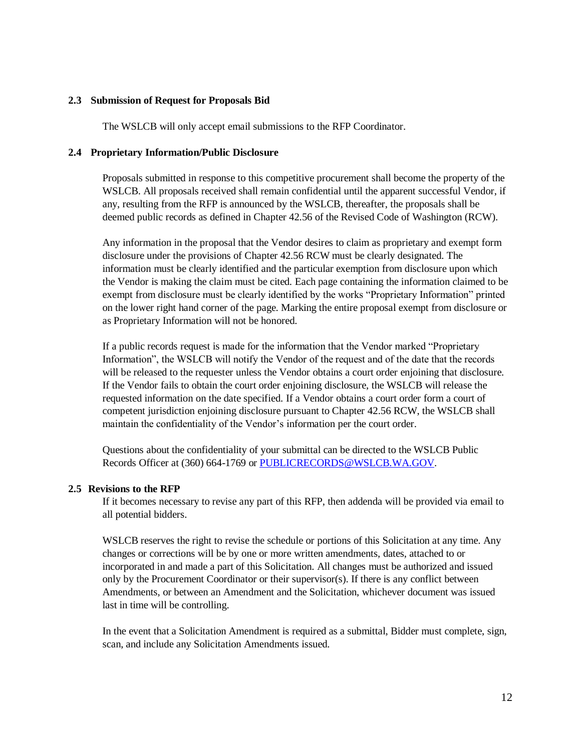#### **2.3 Submission of Request for Proposals Bid**

The WSLCB will only accept email submissions to the RFP Coordinator.

#### **2.4 Proprietary Information/Public Disclosure**

Proposals submitted in response to this competitive procurement shall become the property of the WSLCB. All proposals received shall remain confidential until the apparent successful Vendor, if any, resulting from the RFP is announced by the WSLCB, thereafter, the proposals shall be deemed public records as defined in Chapter 42.56 of the Revised Code of Washington (RCW).

Any information in the proposal that the Vendor desires to claim as proprietary and exempt form disclosure under the provisions of Chapter 42.56 RCW must be clearly designated. The information must be clearly identified and the particular exemption from disclosure upon which the Vendor is making the claim must be cited. Each page containing the information claimed to be exempt from disclosure must be clearly identified by the works "Proprietary Information" printed on the lower right hand corner of the page. Marking the entire proposal exempt from disclosure or as Proprietary Information will not be honored.

If a public records request is made for the information that the Vendor marked "Proprietary Information", the WSLCB will notify the Vendor of the request and of the date that the records will be released to the requester unless the Vendor obtains a court order enjoining that disclosure. If the Vendor fails to obtain the court order enjoining disclosure, the WSLCB will release the requested information on the date specified. If a Vendor obtains a court order form a court of competent jurisdiction enjoining disclosure pursuant to Chapter 42.56 RCW, the WSLCB shall maintain the confidentiality of the Vendor's information per the court order.

Questions about the confidentiality of your submittal can be directed to the WSLCB Public Records Officer at (360) 664-1769 or [PUBLICRECORDS@WSLCB.WA.GOV.](mailto:publicrecords@WSLCB.wa.gov)

#### **2.5 Revisions to the RFP**

If it becomes necessary to revise any part of this RFP, then addenda will be provided via email to all potential bidders.

WSLCB reserves the right to revise the schedule or portions of this Solicitation at any time. Any changes or corrections will be by one or more written amendments, dates, attached to or incorporated in and made a part of this Solicitation. All changes must be authorized and issued only by the Procurement Coordinator or their supervisor(s). If there is any conflict between Amendments, or between an Amendment and the Solicitation, whichever document was issued last in time will be controlling.

In the event that a Solicitation Amendment is required as a submittal, Bidder must complete, sign, scan, and include any Solicitation Amendments issued.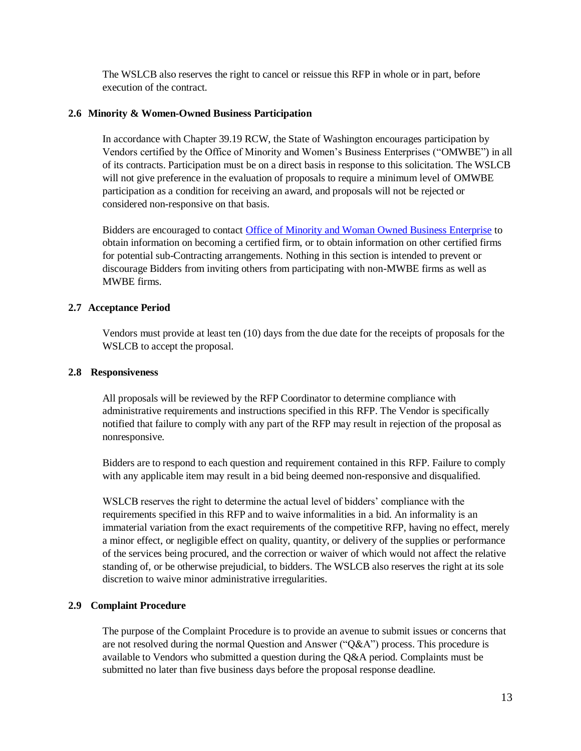The WSLCB also reserves the right to cancel or reissue this RFP in whole or in part, before execution of the contract.

## **2.6 Minority & Women-Owned Business Participation**

In accordance with Chapter 39.19 RCW, the State of Washington encourages participation by Vendors certified by the Office of Minority and Women's Business Enterprises ("OMWBE") in all of its contracts. Participation must be on a direct basis in response to this solicitation. The WSLCB will not give preference in the evaluation of proposals to require a minimum level of OMWBE participation as a condition for receiving an award, and proposals will not be rejected or considered non-responsive on that basis.

Bidders are encouraged to contact [Office of Minority and Woman Owned Business Enterprise](http://www.omwbe.wa.gov/) to obtain information on becoming a certified firm, or to obtain information on other certified firms for potential sub-Contracting arrangements. Nothing in this section is intended to prevent or discourage Bidders from inviting others from participating with non-MWBE firms as well as MWBE firms.

## **2.7 Acceptance Period**

Vendors must provide at least ten (10) days from the due date for the receipts of proposals for the WSLCB to accept the proposal.

## **2.8 Responsiveness**

All proposals will be reviewed by the RFP Coordinator to determine compliance with administrative requirements and instructions specified in this RFP. The Vendor is specifically notified that failure to comply with any part of the RFP may result in rejection of the proposal as nonresponsive.

Bidders are to respond to each question and requirement contained in this RFP. Failure to comply with any applicable item may result in a bid being deemed non-responsive and disqualified.

WSLCB reserves the right to determine the actual level of bidders' compliance with the requirements specified in this RFP and to waive informalities in a bid. An informality is an immaterial variation from the exact requirements of the competitive RFP, having no effect, merely a minor effect, or negligible effect on quality, quantity, or delivery of the supplies or performance of the services being procured, and the correction or waiver of which would not affect the relative standing of, or be otherwise prejudicial, to bidders. The WSLCB also reserves the right at its sole discretion to waive minor administrative irregularities.

## **2.9 Complaint Procedure**

The purpose of the Complaint Procedure is to provide an avenue to submit issues or concerns that are not resolved during the normal Question and Answer ("Q&A") process. This procedure is available to Vendors who submitted a question during the Q&A period. Complaints must be submitted no later than five business days before the proposal response deadline.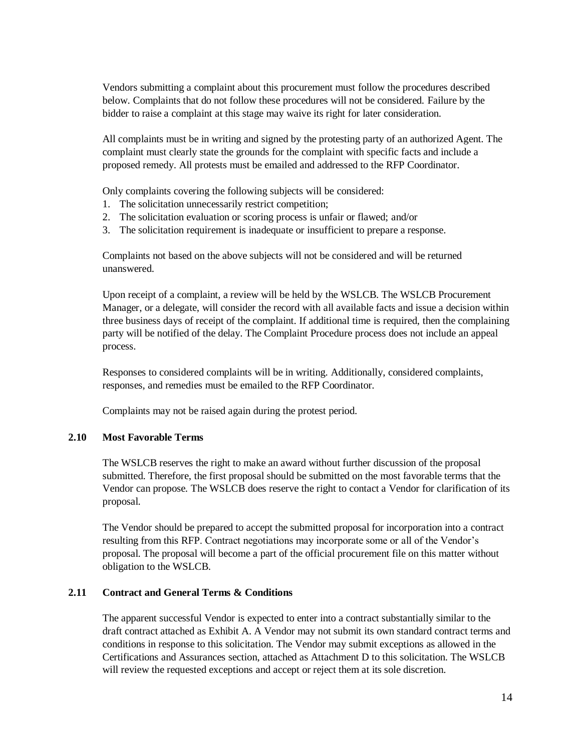Vendors submitting a complaint about this procurement must follow the procedures described below. Complaints that do not follow these procedures will not be considered. Failure by the bidder to raise a complaint at this stage may waive its right for later consideration.

All complaints must be in writing and signed by the protesting party of an authorized Agent. The complaint must clearly state the grounds for the complaint with specific facts and include a proposed remedy. All protests must be emailed and addressed to the RFP Coordinator.

Only complaints covering the following subjects will be considered:

- 1. The solicitation unnecessarily restrict competition;
- 2. The solicitation evaluation or scoring process is unfair or flawed; and/or
- 3. The solicitation requirement is inadequate or insufficient to prepare a response.

Complaints not based on the above subjects will not be considered and will be returned unanswered.

Upon receipt of a complaint, a review will be held by the WSLCB. The WSLCB Procurement Manager, or a delegate, will consider the record with all available facts and issue a decision within three business days of receipt of the complaint. If additional time is required, then the complaining party will be notified of the delay. The Complaint Procedure process does not include an appeal process.

Responses to considered complaints will be in writing. Additionally, considered complaints, responses, and remedies must be emailed to the RFP Coordinator.

Complaints may not be raised again during the protest period.

#### **2.10 Most Favorable Terms**

The WSLCB reserves the right to make an award without further discussion of the proposal submitted. Therefore, the first proposal should be submitted on the most favorable terms that the Vendor can propose. The WSLCB does reserve the right to contact a Vendor for clarification of its proposal.

The Vendor should be prepared to accept the submitted proposal for incorporation into a contract resulting from this RFP. Contract negotiations may incorporate some or all of the Vendor's proposal. The proposal will become a part of the official procurement file on this matter without obligation to the WSLCB.

#### **2.11 Contract and General Terms & Conditions**

The apparent successful Vendor is expected to enter into a contract substantially similar to the draft contract attached as Exhibit A. A Vendor may not submit its own standard contract terms and conditions in response to this solicitation. The Vendor may submit exceptions as allowed in the Certifications and Assurances section, attached as Attachment D to this solicitation. The WSLCB will review the requested exceptions and accept or reject them at its sole discretion.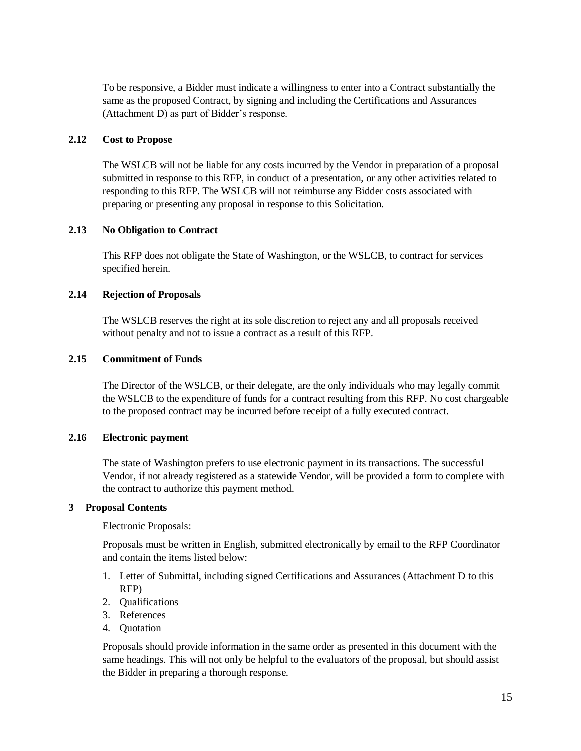To be responsive, a Bidder must indicate a willingness to enter into a Contract substantially the same as the proposed Contract, by signing and including the Certifications and Assurances (Attachment D) as part of Bidder's response.

### **2.12 Cost to Propose**

The WSLCB will not be liable for any costs incurred by the Vendor in preparation of a proposal submitted in response to this RFP, in conduct of a presentation, or any other activities related to responding to this RFP. The WSLCB will not reimburse any Bidder costs associated with preparing or presenting any proposal in response to this Solicitation.

## **2.13 No Obligation to Contract**

This RFP does not obligate the State of Washington, or the WSLCB, to contract for services specified herein.

## **2.14 Rejection of Proposals**

The WSLCB reserves the right at its sole discretion to reject any and all proposals received without penalty and not to issue a contract as a result of this RFP.

#### **2.15 Commitment of Funds**

The Director of the WSLCB, or their delegate, are the only individuals who may legally commit the WSLCB to the expenditure of funds for a contract resulting from this RFP. No cost chargeable to the proposed contract may be incurred before receipt of a fully executed contract.

## **2.16 Electronic payment**

The state of Washington prefers to use electronic payment in its transactions. The successful Vendor, if not already registered as a statewide Vendor, will be provided a form to complete with the contract to authorize this payment method.

#### **3 Proposal Contents**

Electronic Proposals:

Proposals must be written in English, submitted electronically by email to the RFP Coordinator and contain the items listed below:

- 1. Letter of Submittal, including signed Certifications and Assurances (Attachment D to this RFP)
- 2. Qualifications
- 3. References
- 4. Quotation

Proposals should provide information in the same order as presented in this document with the same headings. This will not only be helpful to the evaluators of the proposal, but should assist the Bidder in preparing a thorough response.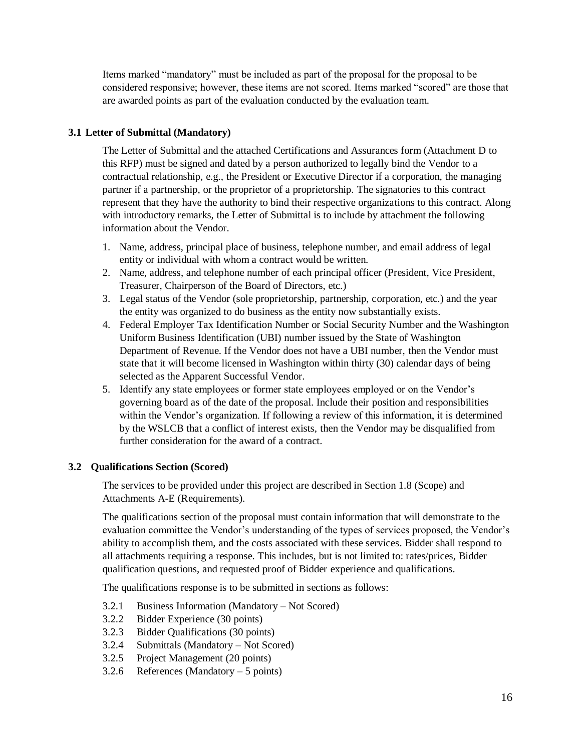Items marked "mandatory" must be included as part of the proposal for the proposal to be considered responsive; however, these items are not scored. Items marked "scored" are those that are awarded points as part of the evaluation conducted by the evaluation team.

## **3.1 Letter of Submittal (Mandatory)**

The Letter of Submittal and the attached Certifications and Assurances form (Attachment D to this RFP) must be signed and dated by a person authorized to legally bind the Vendor to a contractual relationship, e.g., the President or Executive Director if a corporation, the managing partner if a partnership, or the proprietor of a proprietorship. The signatories to this contract represent that they have the authority to bind their respective organizations to this contract. Along with introductory remarks, the Letter of Submittal is to include by attachment the following information about the Vendor.

- 1. Name, address, principal place of business, telephone number, and email address of legal entity or individual with whom a contract would be written.
- 2. Name, address, and telephone number of each principal officer (President, Vice President, Treasurer, Chairperson of the Board of Directors, etc.)
- 3. Legal status of the Vendor (sole proprietorship, partnership, corporation, etc.) and the year the entity was organized to do business as the entity now substantially exists.
- 4. Federal Employer Tax Identification Number or Social Security Number and the Washington Uniform Business Identification (UBI) number issued by the State of Washington Department of Revenue. If the Vendor does not have a UBI number, then the Vendor must state that it will become licensed in Washington within thirty (30) calendar days of being selected as the Apparent Successful Vendor.
- 5. Identify any state employees or former state employees employed or on the Vendor's governing board as of the date of the proposal. Include their position and responsibilities within the Vendor's organization. If following a review of this information, it is determined by the WSLCB that a conflict of interest exists, then the Vendor may be disqualified from further consideration for the award of a contract.

## **3.2 Qualifications Section (Scored)**

The services to be provided under this project are described in Section 1.8 (Scope) and Attachments A-E (Requirements).

The qualifications section of the proposal must contain information that will demonstrate to the evaluation committee the Vendor's understanding of the types of services proposed, the Vendor's ability to accomplish them, and the costs associated with these services. Bidder shall respond to all attachments requiring a response. This includes, but is not limited to: rates/prices, Bidder qualification questions, and requested proof of Bidder experience and qualifications.

The qualifications response is to be submitted in sections as follows:

- 3.2.1 Business Information (Mandatory Not Scored)
- 3.2.2 Bidder Experience (30 points)
- 3.2.3 Bidder Qualifications (30 points)
- 3.2.4 Submittals (Mandatory Not Scored)
- 3.2.5 Project Management (20 points)
- 3.2.6 References (Mandatory  $-5$  points)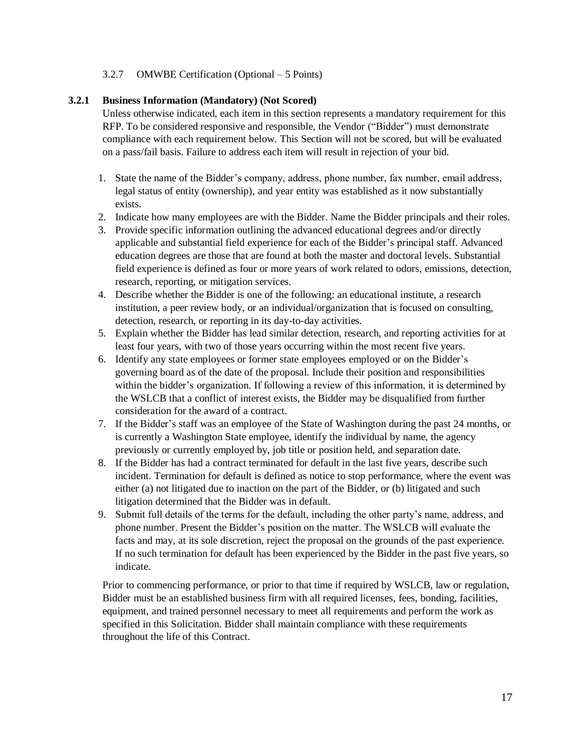## 3.2.7 OMWBE Certification (Optional – 5 Points)

## **3.2.1 Business Information (Mandatory) (Not Scored)**

Unless otherwise indicated, each item in this section represents a mandatory requirement for this RFP. To be considered responsive and responsible, the Vendor ("Bidder") must demonstrate compliance with each requirement below. This Section will not be scored, but will be evaluated on a pass/fail basis. Failure to address each item will result in rejection of your bid.

- 1. State the name of the Bidder's company, address, phone number, fax number, email address, legal status of entity (ownership), and year entity was established as it now substantially exists.
- 2. Indicate how many employees are with the Bidder. Name the Bidder principals and their roles.
- 3. Provide specific information outlining the advanced educational degrees and/or directly applicable and substantial field experience for each of the Bidder's principal staff. Advanced education degrees are those that are found at both the master and doctoral levels. Substantial field experience is defined as four or more years of work related to odors, emissions, detection, research, reporting, or mitigation services.
- 4. Describe whether the Bidder is one of the following: an educational institute, a research institution, a peer review body, or an individual/organization that is focused on consulting, detection, research, or reporting in its day-to-day activities.
- 5. Explain whether the Bidder has lead similar detection, research, and reporting activities for at least four years, with two of those years occurring within the most recent five years.
- 6. Identify any state employees or former state employees employed or on the Bidder's governing board as of the date of the proposal. Include their position and responsibilities within the bidder's organization. If following a review of this information, it is determined by the WSLCB that a conflict of interest exists, the Bidder may be disqualified from further consideration for the award of a contract.
- 7. If the Bidder's staff was an employee of the State of Washington during the past 24 months, or is currently a Washington State employee, identify the individual by name, the agency previously or currently employed by, job title or position held, and separation date.
- 8. If the Bidder has had a contract terminated for default in the last five years, describe such incident. Termination for default is defined as notice to stop performance, where the event was either (a) not litigated due to inaction on the part of the Bidder, or (b) litigated and such litigation determined that the Bidder was in default.
- 9. Submit full details of the terms for the default, including the other party's name, address, and phone number. Present the Bidder's position on the matter. The WSLCB will evaluate the facts and may, at its sole discretion, reject the proposal on the grounds of the past experience. If no such termination for default has been experienced by the Bidder in the past five years, so indicate.

Prior to commencing performance, or prior to that time if required by WSLCB, law or regulation, Bidder must be an established business firm with all required licenses, fees, bonding, facilities, equipment, and trained personnel necessary to meet all requirements and perform the work as specified in this Solicitation. Bidder shall maintain compliance with these requirements throughout the life of this Contract.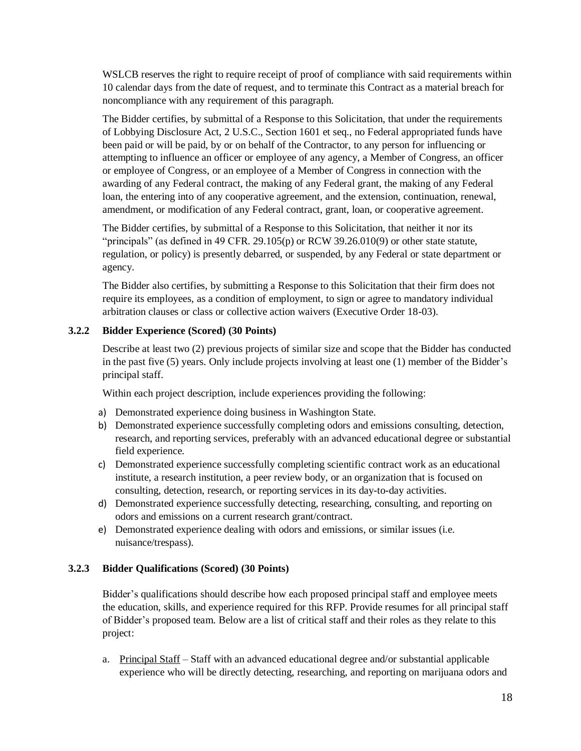WSLCB reserves the right to require receipt of proof of compliance with said requirements within 10 calendar days from the date of request, and to terminate this Contract as a material breach for noncompliance with any requirement of this paragraph.

The Bidder certifies, by submittal of a Response to this Solicitation, that under the requirements of Lobbying Disclosure Act, 2 U.S.C., Section 1601 et seq., no Federal appropriated funds have been paid or will be paid, by or on behalf of the Contractor, to any person for influencing or attempting to influence an officer or employee of any agency, a Member of Congress, an officer or employee of Congress, or an employee of a Member of Congress in connection with the awarding of any Federal contract, the making of any Federal grant, the making of any Federal loan, the entering into of any cooperative agreement, and the extension, continuation, renewal, amendment, or modification of any Federal contract, grant, loan, or cooperative agreement.

The Bidder certifies, by submittal of a Response to this Solicitation, that neither it nor its "principals" (as defined in 49 CFR. 29.105(p) or RCW 39.26.010(9) or other state statute, regulation, or policy) is presently debarred, or suspended, by any Federal or state department or agency.

The Bidder also certifies, by submitting a Response to this Solicitation that their firm does not require its employees, as a condition of employment, to sign or agree to mandatory individual arbitration clauses or class or collective action waivers (Executive Order 18-03).

## **3.2.2 Bidder Experience (Scored) (30 Points)**

Describe at least two (2) previous projects of similar size and scope that the Bidder has conducted in the past five (5) years. Only include projects involving at least one (1) member of the Bidder's principal staff.

Within each project description, include experiences providing the following:

- a) Demonstrated experience doing business in Washington State.
- b) Demonstrated experience successfully completing odors and emissions consulting, detection, research, and reporting services, preferably with an advanced educational degree or substantial field experience.
- c) Demonstrated experience successfully completing scientific contract work as an educational institute, a research institution, a peer review body, or an organization that is focused on consulting, detection, research, or reporting services in its day-to-day activities.
- d) Demonstrated experience successfully detecting, researching, consulting, and reporting on odors and emissions on a current research grant/contract.
- e) Demonstrated experience dealing with odors and emissions, or similar issues (i.e. nuisance/trespass).

# **3.2.3 Bidder Qualifications (Scored) (30 Points)**

Bidder's qualifications should describe how each proposed principal staff and employee meets the education, skills, and experience required for this RFP. Provide resumes for all principal staff of Bidder's proposed team. Below are a list of critical staff and their roles as they relate to this project:

a. Principal Staff – Staff with an advanced educational degree and/or substantial applicable experience who will be directly detecting, researching, and reporting on marijuana odors and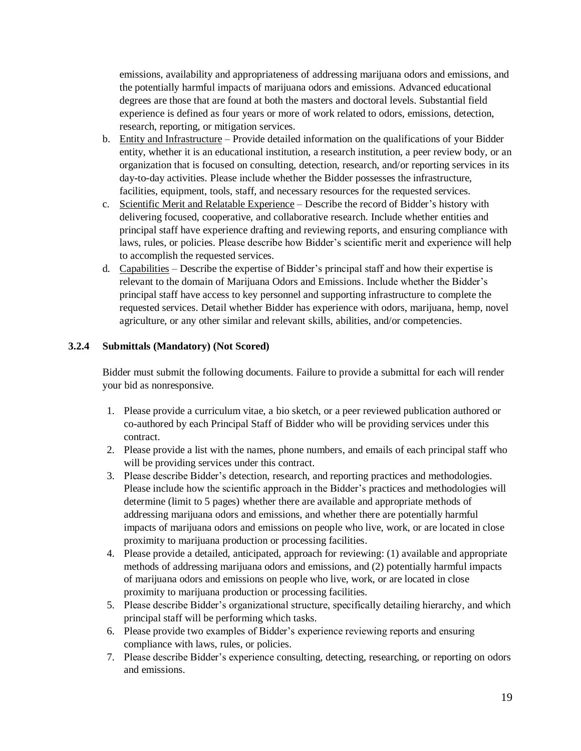emissions, availability and appropriateness of addressing marijuana odors and emissions, and the potentially harmful impacts of marijuana odors and emissions. Advanced educational degrees are those that are found at both the masters and doctoral levels. Substantial field experience is defined as four years or more of work related to odors, emissions, detection, research, reporting, or mitigation services.

- b. Entity and Infrastructure Provide detailed information on the qualifications of your Bidder entity, whether it is an educational institution, a research institution, a peer review body, or an organization that is focused on consulting, detection, research, and/or reporting services in its day-to-day activities. Please include whether the Bidder possesses the infrastructure, facilities, equipment, tools, staff, and necessary resources for the requested services.
- c. Scientific Merit and Relatable Experience Describe the record of Bidder's history with delivering focused, cooperative, and collaborative research. Include whether entities and principal staff have experience drafting and reviewing reports, and ensuring compliance with laws, rules, or policies. Please describe how Bidder's scientific merit and experience will help to accomplish the requested services.
- d. Capabilities Describe the expertise of Bidder's principal staff and how their expertise is relevant to the domain of Marijuana Odors and Emissions. Include whether the Bidder's principal staff have access to key personnel and supporting infrastructure to complete the requested services. Detail whether Bidder has experience with odors, marijuana, hemp, novel agriculture, or any other similar and relevant skills, abilities, and/or competencies.

## **3.2.4 Submittals (Mandatory) (Not Scored)**

Bidder must submit the following documents. Failure to provide a submittal for each will render your bid as nonresponsive.

- 1. Please provide a curriculum vitae, a bio sketch, or a peer reviewed publication authored or co-authored by each Principal Staff of Bidder who will be providing services under this contract.
- 2. Please provide a list with the names, phone numbers, and emails of each principal staff who will be providing services under this contract.
- 3. Please describe Bidder's detection, research, and reporting practices and methodologies. Please include how the scientific approach in the Bidder's practices and methodologies will determine (limit to 5 pages) whether there are available and appropriate methods of addressing marijuana odors and emissions, and whether there are potentially harmful impacts of marijuana odors and emissions on people who live, work, or are located in close proximity to marijuana production or processing facilities.
- 4. Please provide a detailed, anticipated, approach for reviewing: (1) available and appropriate methods of addressing marijuana odors and emissions, and (2) potentially harmful impacts of marijuana odors and emissions on people who live, work, or are located in close proximity to marijuana production or processing facilities.
- 5. Please describe Bidder's organizational structure, specifically detailing hierarchy, and which principal staff will be performing which tasks.
- 6. Please provide two examples of Bidder's experience reviewing reports and ensuring compliance with laws, rules, or policies.
- 7. Please describe Bidder's experience consulting, detecting, researching, or reporting on odors and emissions.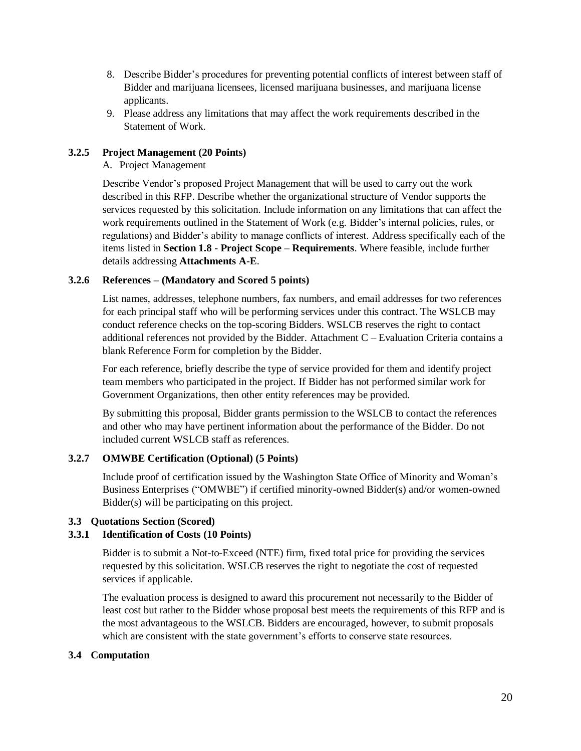- 8. Describe Bidder's procedures for preventing potential conflicts of interest between staff of Bidder and marijuana licensees, licensed marijuana businesses, and marijuana license applicants.
- 9. Please address any limitations that may affect the work requirements described in the Statement of Work.

## **3.2.5 Project Management (20 Points)**

A. Project Management

Describe Vendor's proposed Project Management that will be used to carry out the work described in this RFP. Describe whether the organizational structure of Vendor supports the services requested by this solicitation. Include information on any limitations that can affect the work requirements outlined in the Statement of Work (e.g. Bidder's internal policies, rules, or regulations) and Bidder's ability to manage conflicts of interest. Address specifically each of the items listed in **Section 1.8 - Project Scope – Requirements**. Where feasible, include further details addressing **Attachments A-E**.

## **3.2.6 References – (Mandatory and Scored 5 points)**

List names, addresses, telephone numbers, fax numbers, and email addresses for two references for each principal staff who will be performing services under this contract. The WSLCB may conduct reference checks on the top-scoring Bidders. WSLCB reserves the right to contact additional references not provided by the Bidder. Attachment C – Evaluation Criteria contains a blank Reference Form for completion by the Bidder.

For each reference, briefly describe the type of service provided for them and identify project team members who participated in the project. If Bidder has not performed similar work for Government Organizations, then other entity references may be provided.

By submitting this proposal, Bidder grants permission to the WSLCB to contact the references and other who may have pertinent information about the performance of the Bidder. Do not included current WSLCB staff as references.

## **3.2.7 OMWBE Certification (Optional) (5 Points)**

Include proof of certification issued by the Washington State Office of Minority and Woman's Business Enterprises ("OMWBE") if certified minority-owned Bidder(s) and/or women-owned Bidder(s) will be participating on this project.

## **3.3 Quotations Section (Scored)**

## **3.3.1 Identification of Costs (10 Points)**

Bidder is to submit a Not-to-Exceed (NTE) firm, fixed total price for providing the services requested by this solicitation. WSLCB reserves the right to negotiate the cost of requested services if applicable.

The evaluation process is designed to award this procurement not necessarily to the Bidder of least cost but rather to the Bidder whose proposal best meets the requirements of this RFP and is the most advantageous to the WSLCB. Bidders are encouraged, however, to submit proposals which are consistent with the state government's efforts to conserve state resources.

## **3.4 Computation**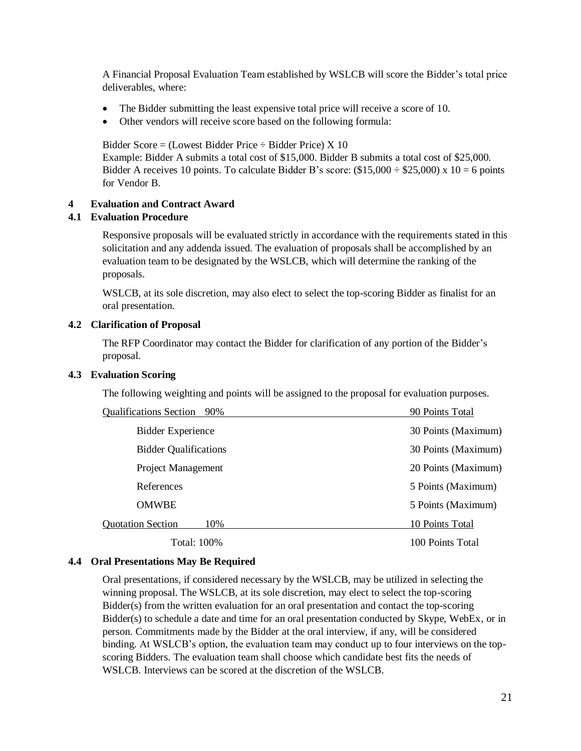A Financial Proposal Evaluation Team established by WSLCB will score the Bidder's total price deliverables, where:

- The Bidder submitting the least expensive total price will receive a score of 10.
- Other vendors will receive score based on the following formula:

Bidder Score =  $(L$ owest Bidder Price  $\div$  Bidder Price) X 10 Example: Bidder A submits a total cost of \$15,000. Bidder B submits a total cost of \$25,000. Bidder A receives 10 points. To calculate Bidder B's score:  $(\$15,000 \div \$25,000) \times 10 = 6$  points for Vendor B.

## **4 Evaluation and Contract Award**

## **4.1 Evaluation Procedure**

Responsive proposals will be evaluated strictly in accordance with the requirements stated in this solicitation and any addenda issued. The evaluation of proposals shall be accomplished by an evaluation team to be designated by the WSLCB, which will determine the ranking of the proposals.

WSLCB, at its sole discretion, may also elect to select the top-scoring Bidder as finalist for an oral presentation.

## **4.2 Clarification of Proposal**

The RFP Coordinator may contact the Bidder for clarification of any portion of the Bidder's proposal.

## **4.3 Evaluation Scoring**

The following weighting and points will be assigned to the proposal for evaluation purposes.

| <b>Qualifications Section</b><br>90% | 90 Points Total     |
|--------------------------------------|---------------------|
| <b>Bidder Experience</b>             | 30 Points (Maximum) |
| <b>Bidder Qualifications</b>         | 30 Points (Maximum) |
| <b>Project Management</b>            | 20 Points (Maximum) |
| References                           | 5 Points (Maximum)  |
| <b>OMWBE</b>                         | 5 Points (Maximum)  |
| <b>Quotation Section</b><br>10%      | 10 Points Total     |
| Total: 100%                          | 100 Points Total    |

## **4.4 Oral Presentations May Be Required**

Oral presentations, if considered necessary by the WSLCB, may be utilized in selecting the winning proposal. The WSLCB, at its sole discretion, may elect to select the top-scoring Bidder(s) from the written evaluation for an oral presentation and contact the top-scoring Bidder(s) to schedule a date and time for an oral presentation conducted by Skype, WebEx, or in person. Commitments made by the Bidder at the oral interview, if any, will be considered binding. At WSLCB's option, the evaluation team may conduct up to four interviews on the topscoring Bidders. The evaluation team shall choose which candidate best fits the needs of WSLCB. Interviews can be scored at the discretion of the WSLCB.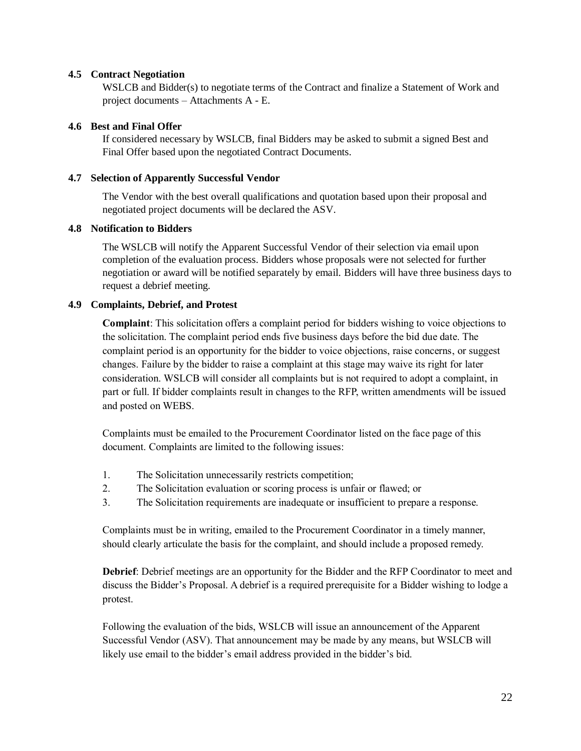## **4.5 Contract Negotiation**

WSLCB and Bidder(s) to negotiate terms of the Contract and finalize a Statement of Work and project documents – Attachments A - E.

### **4.6 Best and Final Offer**

If considered necessary by WSLCB, final Bidders may be asked to submit a signed Best and Final Offer based upon the negotiated Contract Documents.

#### **4.7 Selection of Apparently Successful Vendor**

The Vendor with the best overall qualifications and quotation based upon their proposal and negotiated project documents will be declared the ASV.

#### **4.8 Notification to Bidders**

The WSLCB will notify the Apparent Successful Vendor of their selection via email upon completion of the evaluation process. Bidders whose proposals were not selected for further negotiation or award will be notified separately by email. Bidders will have three business days to request a debrief meeting.

## **4.9 Complaints, Debrief, and Protest**

**Complaint**: This solicitation offers a complaint period for bidders wishing to voice objections to the solicitation. The complaint period ends five business days before the bid due date. The complaint period is an opportunity for the bidder to voice objections, raise concerns, or suggest changes. Failure by the bidder to raise a complaint at this stage may waive its right for later consideration. WSLCB will consider all complaints but is not required to adopt a complaint, in part or full. If bidder complaints result in changes to the RFP, written amendments will be issued and posted on WEBS.

Complaints must be emailed to the Procurement Coordinator listed on the face page of this document. Complaints are limited to the following issues:

- 1. The Solicitation unnecessarily restricts competition;
- 2. The Solicitation evaluation or scoring process is unfair or flawed; or
- 3. The Solicitation requirements are inadequate or insufficient to prepare a response.

Complaints must be in writing, emailed to the Procurement Coordinator in a timely manner, should clearly articulate the basis for the complaint, and should include a proposed remedy.

**Debrief**: Debrief meetings are an opportunity for the Bidder and the RFP Coordinator to meet and discuss the Bidder's Proposal. A debrief is a required prerequisite for a Bidder wishing to lodge a protest.

Following the evaluation of the bids, WSLCB will issue an announcement of the Apparent Successful Vendor (ASV). That announcement may be made by any means, but WSLCB will likely use email to the bidder's email address provided in the bidder's bid.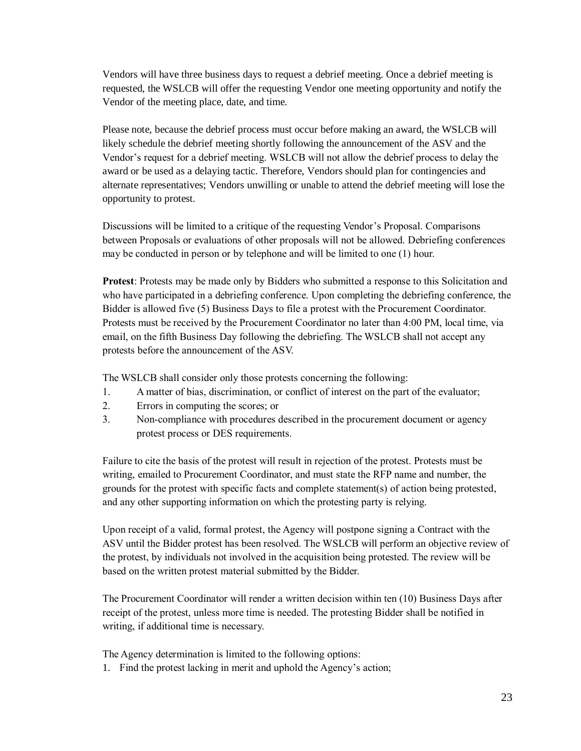Vendors will have three business days to request a debrief meeting. Once a debrief meeting is requested, the WSLCB will offer the requesting Vendor one meeting opportunity and notify the Vendor of the meeting place, date, and time.

Please note, because the debrief process must occur before making an award, the WSLCB will likely schedule the debrief meeting shortly following the announcement of the ASV and the Vendor's request for a debrief meeting. WSLCB will not allow the debrief process to delay the award or be used as a delaying tactic. Therefore, Vendors should plan for contingencies and alternate representatives; Vendors unwilling or unable to attend the debrief meeting will lose the opportunity to protest.

Discussions will be limited to a critique of the requesting Vendor's Proposal. Comparisons between Proposals or evaluations of other proposals will not be allowed. Debriefing conferences may be conducted in person or by telephone and will be limited to one (1) hour.

**Protest**: Protests may be made only by Bidders who submitted a response to this Solicitation and who have participated in a debriefing conference. Upon completing the debriefing conference, the Bidder is allowed five (5) Business Days to file a protest with the Procurement Coordinator. Protests must be received by the Procurement Coordinator no later than 4:00 PM, local time, via email, on the fifth Business Day following the debriefing. The WSLCB shall not accept any protests before the announcement of the ASV.

The WSLCB shall consider only those protests concerning the following:

- 1. A matter of bias, discrimination, or conflict of interest on the part of the evaluator;
- 2. Errors in computing the scores; or
- 3. Non-compliance with procedures described in the procurement document or agency protest process or DES requirements.

Failure to cite the basis of the protest will result in rejection of the protest. Protests must be writing, emailed to Procurement Coordinator, and must state the RFP name and number, the grounds for the protest with specific facts and complete statement(s) of action being protested, and any other supporting information on which the protesting party is relying.

Upon receipt of a valid, formal protest, the Agency will postpone signing a Contract with the ASV until the Bidder protest has been resolved. The WSLCB will perform an objective review of the protest, by individuals not involved in the acquisition being protested. The review will be based on the written protest material submitted by the Bidder.

The Procurement Coordinator will render a written decision within ten (10) Business Days after receipt of the protest, unless more time is needed. The protesting Bidder shall be notified in writing, if additional time is necessary.

The Agency determination is limited to the following options:

1. Find the protest lacking in merit and uphold the Agency's action;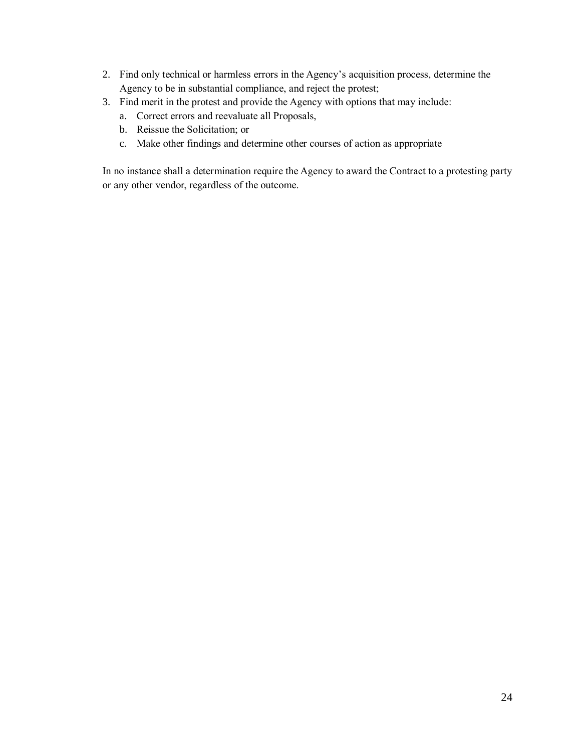- 2. Find only technical or harmless errors in the Agency's acquisition process, determine the Agency to be in substantial compliance, and reject the protest;
- 3. Find merit in the protest and provide the Agency with options that may include:
	- a. Correct errors and reevaluate all Proposals,
	- b. Reissue the Solicitation; or
	- c. Make other findings and determine other courses of action as appropriate

In no instance shall a determination require the Agency to award the Contract to a protesting party or any other vendor, regardless of the outcome.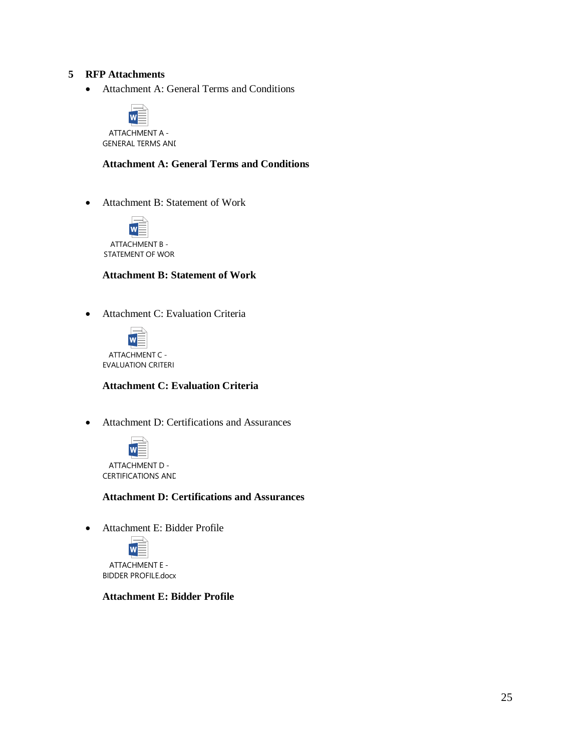## **5 RFP Attachments**

Attachment A: General Terms and Conditions



GENERAL TERMS ANI

**Attachment A: General Terms and Conditions**

Attachment B: Statement of Work



ATTACHMENT B - STATEMENT OF WOR

#### **Attachment B: Statement of Work**

Attachment C: Evaluation Criteria



#### **Attachment C: Evaluation Criteria**

Attachment D: Certifications and Assurances



#### **Attachment D: Certifications and Assurances**

Attachment E: Bidder Profile



#### **Attachment E: Bidder Profile**